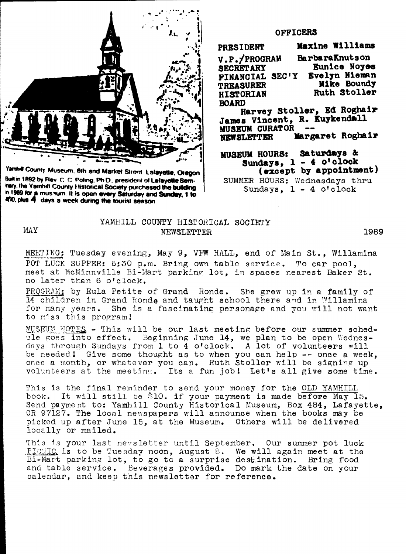

Yamhill County Museum, 6th and Market Street, Lalayette, Oregon Built in 1892 by Rev. C. C. Poling, Ph.D., president of Lafayette Seminary, the Yarnhill County Historical Society purchased the building In 1969 for a musinum. It is open every Saturday and Sunday, 1 to 470, plus 4 days a week during the tourist season

 $MX$ 

## **OFFICERS**

Maxine Williams **PRESIDENT** V.P./PROGRAM **BarbaraKnutson** Eunice Noyes **SECRETARY** FINANCIAL SEC'Y **Evelyn Nieman** Mike Boundy **TREASURER** Ruth Stoller **HISTORIAN BOARD** Harvey Stoller, Ed Roghair James Vincent, R. Kuykendall MUSEUM CURATOR Margaret Roghair **NEWSLETTER** MUSEUM HOURS: Saturdays &

Sundays, 1 - 4 o'clock (except by appointment)

SUMMER HOURS: Wednesdays thru Sundays,  $1 - 4$  o'clock

## YAMHILL COUNTY HISTORICAL SOCIETY NEWSLETTER

1989

MEETING: Tuesday evening, May 9, VFW HALL, end of Main St., Willamina POT LUCK SUPPER: 6:30 p.m. Bring own table service. To car pool, meet at McMinnville Bi-Mart parking lot, in spaces nearest Baker St. no later than 6 o'clock.

PROGRAM: by Eula Petite of Grand Ronde. She grew up in a family of 14 children in Grand Ronde and taught school there and in Willamina for many years. She is a fascinating personage and you will not want to miss this program!

MUSEUM NOTES - This will be our last meeting before our summer schedule goes into effect. Beginning June 14, we plan to be open Wednesdays through Sundays from 1 to 4 o'clock. A lot of volunteers will be needed! Give some thought as to when you can help -- once a week, once a month, or whatever you can. Ruth Stoller will be signing up volunteers at the meeting. Its a fun job! Let's all give some time.

This is the final reminder to send your money for the OLD YAMHILL book. It will still be \$10. if your payment is made before May 15. Send payment to: Yamhill County Historical Museum, Box 484, Lafayette, OR 97127. The local newspapers will announce when the books may be picked up after June 15, at the Museum. Others will be delivered locally or mailed.

This is your last newsletter until September. Our summer pot luck **PICMIC** is to be Tuesday noon, August 8. We will again meet at the Bi-Mart parking lot, to go to a surprise destination. Bring food and table service. Beverages provided. Do mark the date on your calendar, and keep this newsletter for reference.